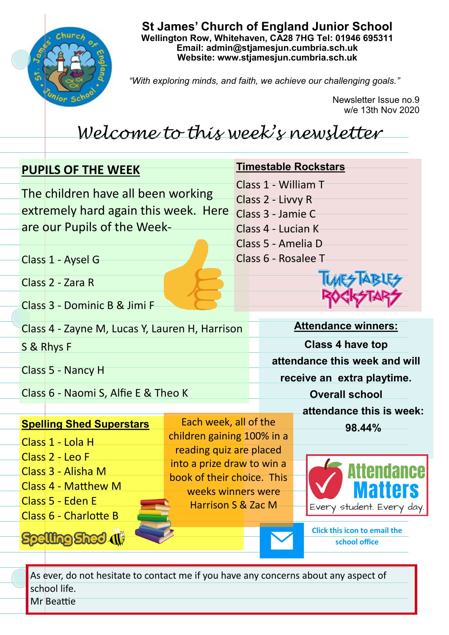

# **St James' Church of England Junior School Wellington Row, Whitehaven, CA28 7HG Tel: 01946 695311 Email: admin@stjamesjun.cumbria.sch.uk Website: www.stjamesjun.cumbria.sch.uk**

*"With exploring minds, and faith, we achieve our challenging goals."*

Newsletter Issue no.9 w/e 13th Nov 2020

# *Welcome to this week's newsletter*

| <b>PUPILS OF THE WEEK</b>                                                                                 |                                                                                | <b>Timestable Rockstars</b>                                                                               |                                                                                   |
|-----------------------------------------------------------------------------------------------------------|--------------------------------------------------------------------------------|-----------------------------------------------------------------------------------------------------------|-----------------------------------------------------------------------------------|
| The children have all been working<br>extremely hard again this week. Here<br>are our Pupils of the Week- |                                                                                | Class 1 - William T<br>Class 2 - Livvy R<br>Class 3 - Jamie C<br>Class 4 - Lucian K<br>Class 5 - Amelia D |                                                                                   |
| Class 1 - Aysel G                                                                                         |                                                                                | Class 6 - Rosalee T                                                                                       |                                                                                   |
| Class 2 - Zara R<br>Class 3 - Dominic B & Jimi F                                                          |                                                                                |                                                                                                           |                                                                                   |
| Class 4 - Zayne M, Lucas Y, Lauren H, Harrison                                                            |                                                                                | <b>Attendance winners:</b>                                                                                |                                                                                   |
| S & Rhys F                                                                                                |                                                                                | <b>Class 4 have top</b>                                                                                   |                                                                                   |
| Class 5 - Nancy H                                                                                         |                                                                                | attendance this week and will<br>receive an extra playtime.                                               |                                                                                   |
| Class 6 - Naomi S, Alfie E & Theo K                                                                       |                                                                                | <b>Overall school</b>                                                                                     |                                                                                   |
|                                                                                                           |                                                                                |                                                                                                           | attendance this is week:                                                          |
| <b>Spelling Shed Superstars</b><br>Class 1 - Lola H                                                       | Each week, all of the<br>children gaining 100% in a<br>reading quiz are placed |                                                                                                           | 98.44%                                                                            |
| Class 2 - Leo F<br>Class 3 - Alisha M<br>Class 4 - Matthew M<br>Class 5 - Eden E                          | into a prize draw to win a<br>book of their choice. This<br>weeks winners were |                                                                                                           | <b>ttendance</b><br>ners                                                          |
| Class 6 - Charlotte B<br><b>DISPECT (I)</b>                                                               | <b>Harrison S &amp; Zac M</b>                                                  |                                                                                                           | Every student. Every day.<br><b>Click this icon to email the</b><br>school office |

As ever, do not hesitate to contact me if you have any concerns about any aspect of school life. Mr Beattie